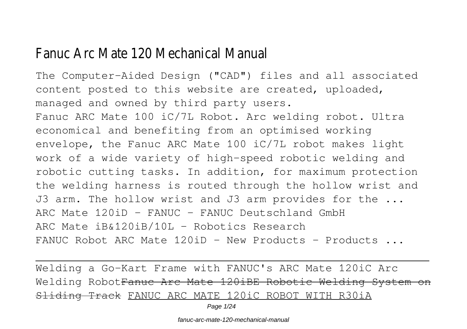# Fanuc Arc Mate 120 Mechanical Manual

The Computer-Aided Design ("CAD") files and all associated content posted to this website are created, uploaded, managed and owned by third party users. Fanuc ARC Mate 100 iC/7L Robot. Arc welding robot. Ultra economical and benefiting from an optimised working envelope, the Fanuc ARC Mate 100 iC/7L robot makes light work of a wide variety of high-speed robotic welding and robotic cutting tasks. In addition, for maximum protection the welding harness is routed through the hollow wrist and J3 arm. The hollow wrist and J3 arm provides for the ... ARC Mate  $120$ iD - FANUC - FANUC Deutschland GmbH ARC Mate iB&120iB/10L - Robotics Research FANUC Robot ARC Mate  $120iD - New Products - Products \dots$ 

Welding a Go-Kart Frame with FANUC's ARC Mate 120iC Arc Welding RobotFanuc Arc Mate 120iBE Robotic Welding System on Sliding Track FANUC ARC MATE 120iC ROBOT WITH R30iA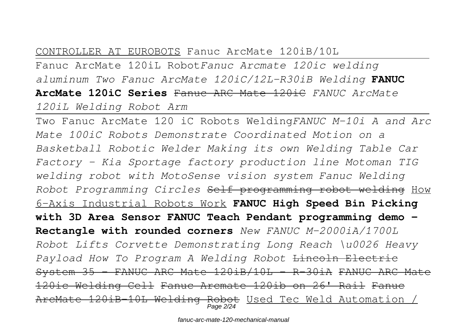## CONTROLLER AT EUROBOTS Fanuc ArcMate 120iB/10L

Fanuc ArcMate 120iL Robot*Fanuc Arcmate 120ic welding aluminum Two Fanuc ArcMate 120iC/12L-R30iB Welding* **FANUC ArcMate 120iC Series** Fanuc ARC Mate 120iC *FANUC ArcMate 120iL Welding Robot Arm*

Two Fanuc ArcMate 120 iC Robots Welding*FANUC M-10i A and Arc Mate 100iC Robots Demonstrate Coordinated Motion on a Basketball Robotic Welder Making its own Welding Table Car Factory - Kia Sportage factory production line Motoman TIG welding robot with MotoSense vision system Fanuc Welding Robot Programming Circles* Self programming robot welding How 6-Axis Industrial Robots Work **FANUC High Speed Bin Picking with 3D Area Sensor FANUC Teach Pendant programming demo - Rectangle with rounded corners** *New FANUC M-2000iA/1700L Robot Lifts Corvette Demonstrating Long Reach \u0026 Heavy Payload How To Program A Welding Robot* Lincoln Electric System 35 - FANUC ARC Mate 120iB/10L - R-30iA FANUC ARC Mate 120ic Welding Cell Fanuc Arcmate 120ib on 26' Rail Fanuc ArcMate 120iB-10L Welding Robot Used Tec Weld Automation / Page 2/24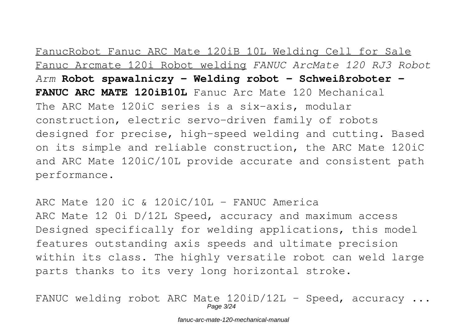# FanucRobot Fanuc ARC Mate 120iB 10L Welding Cell for Sale

Fanuc Arcmate 120i Robot welding *FANUC ArcMate 120 RJ3 Robot Arm* **Robot spawalniczy - Welding robot - Schweißroboter - FANUC ARC MATE 120iB10L** Fanuc Arc Mate 120 Mechanical The ARC Mate 120iC series is a six-axis, modular construction, electric servo-driven family of robots designed for precise, high-speed welding and cutting. Based on its simple and reliable construction, the ARC Mate 120iC and ARC Mate 120iC/10L provide accurate and consistent path performance.

ARC Mate 120 iC & 120iC/10L - FANUC America ARC Mate 12 0i D/12L Speed, accuracy and maximum access Designed specifically for welding applications, this model features outstanding axis speeds and ultimate precision within its class. The highly versatile robot can weld large parts thanks to its very long horizontal stroke.

FANUC welding robot ARC Mate  $120iD/12L$  - Speed, accuracy ... Page 3/24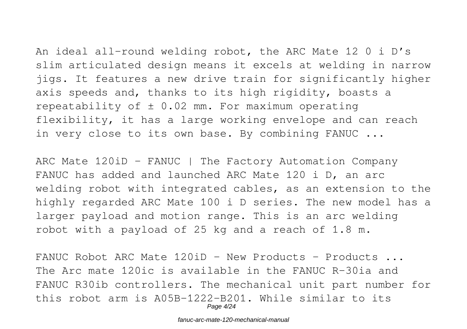An ideal all-round welding robot, the ARC Mate 12 0 i D's slim articulated design means it excels at welding in narrow jigs. It features a new drive train for significantly higher axis speeds and, thanks to its high rigidity, boasts a repeatability of  $\pm$  0.02 mm. For maximum operating flexibility, it has a large working envelope and can reach in very close to its own base. By combining FANUC ...

ARC Mate 120iD - FANUC | The Factory Automation Company FANUC has added and launched ARC Mate 120 i D, an arc welding robot with integrated cables, as an extension to the highly regarded ARC Mate 100 i D series. The new model has a larger payload and motion range. This is an arc welding robot with a payload of 25 kg and a reach of 1.8 m.

FANUC Robot ARC Mate  $120iD - New Products - Products \ldots$ The Arc mate 120ic is available in the FANUC R-30ia and FANUC R30ib controllers. The mechanical unit part number for this robot arm is A05B-1222-B201. While similar to its Page 4/24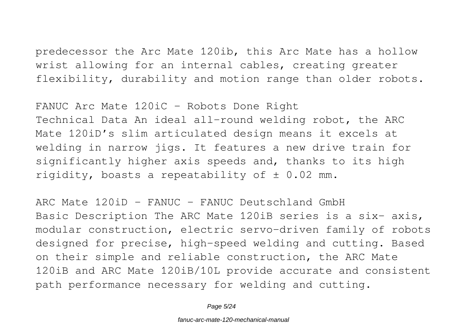predecessor the Arc Mate 120ib, this Arc Mate has a hollow wrist allowing for an internal cables, creating greater flexibility, durability and motion range than older robots.

FANUC Arc Mate 120iC - Robots Done Right Technical Data An ideal all-round welding robot, the ARC Mate 120iD's slim articulated design means it excels at welding in narrow jigs. It features a new drive train for significantly higher axis speeds and, thanks to its high rigidity, boasts a repeatability of  $\pm$  0.02 mm.

ARC Mate  $120$ iD - FANUC - FANUC Deutschland GmbH Basic Description The ARC Mate 120iB series is a six- axis, modular construction, electric servo-driven family of robots designed for precise, high-speed welding and cutting. Based on their simple and reliable construction, the ARC Mate 120iB and ARC Mate 120iB/10L provide accurate and consistent path performance necessary for welding and cutting.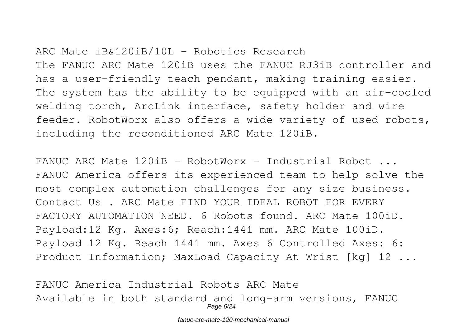ARC Mate iB&120iB/10L - Robotics Research The FANUC ARC Mate 120iB uses the FANUC RJ3iB controller and has a user-friendly teach pendant, making training easier. The system has the ability to be equipped with an air-cooled welding torch, ArcLink interface, safety holder and wire feeder. RobotWorx also offers a wide variety of used robots, including the reconditioned ARC Mate 120iB.

FANUC ARC Mate 120iB - RobotWorx - Industrial Robot ... FANUC America offers its experienced team to help solve the most complex automation challenges for any size business. Contact Us . ARC Mate FIND YOUR IDEAL ROBOT FOR EVERY FACTORY AUTOMATION NEED. 6 Robots found. ARC Mate 100iD. Payload:12 Kg. Axes:6; Reach:1441 mm. ARC Mate 100iD. Payload 12 Kg. Reach 1441 mm. Axes 6 Controlled Axes: 6: Product Information; MaxLoad Capacity At Wrist [kg] 12 ...

FANUC America Industrial Robots ARC Mate Available in both standard and long-arm versions, FANUC Page 6/24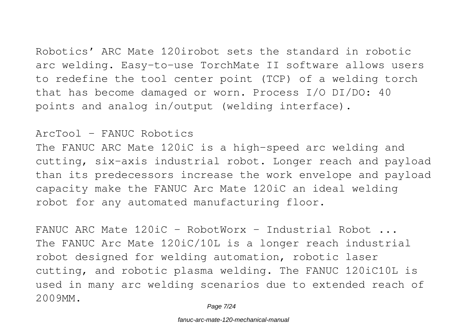Robotics' ARC Mate 120irobot sets the standard in robotic arc welding. Easy-to-use TorchMate II software allows users

to redefine the tool center point (TCP) of a welding torch that has become damaged or worn. Process I/O DI/DO: 40 points and analog in/output (welding interface).

## ArcTool - FANUC Robotics

The FANUC ARC Mate 120iC is a high-speed arc welding and cutting, six-axis industrial robot. Longer reach and payload than its predecessors increase the work envelope and payload capacity make the FANUC Arc Mate 120iC an ideal welding robot for any automated manufacturing floor.

FANUC ARC Mate 120iC - RobotWorx - Industrial Robot ... The FANUC Arc Mate 120iC/10L is a longer reach industrial robot designed for welding automation, robotic laser cutting, and robotic plasma welding. The FANUC 120iC10L is used in many arc welding scenarios due to extended reach of 2009MM.

Page 7/24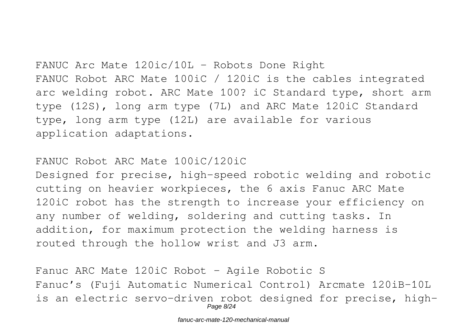FANUC Arc Mate 120ic/10L - Robots Done Right FANUC Robot ARC Mate 100iC / 120iC is the cables integrated arc welding robot. ARC Mate 100? iC Standard type, short arm type (12S), long arm type (7L) and ARC Mate 120iC Standard type, long arm type (12L) are available for various application adaptations.

FANUC Robot ARC Mate 100iC/120iC

Designed for precise, high-speed robotic welding and robotic cutting on heavier workpieces, the 6 axis Fanuc ARC Mate 120iC robot has the strength to increase your efficiency on any number of welding, soldering and cutting tasks. In addition, for maximum protection the welding harness is routed through the hollow wrist and J3 arm.

Fanuc ARC Mate 120iC Robot - Agile Robotic S Fanuc's (Fuji Automatic Numerical Control) Arcmate 120iB-10L is an electric servo-driven robot designed for precise, high-Page 8/24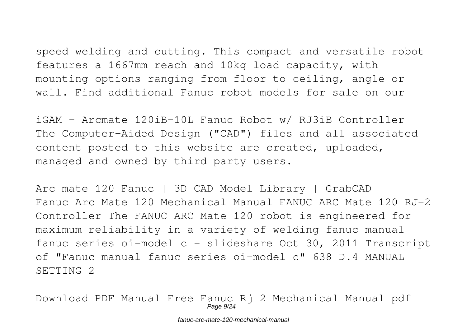speed welding and cutting. This compact and versatile robot features a 1667mm reach and 10kg load capacity, with mounting options ranging from floor to ceiling, angle or wall. Find additional Fanuc robot models for sale on our

iGAM - Arcmate 120iB-10L Fanuc Robot w/ RJ3iB Controller The Computer-Aided Design ("CAD") files and all associated content posted to this website are created, uploaded, managed and owned by third party users.

Arc mate 120 Fanuc | 3D CAD Model Library | GrabCAD Fanuc Arc Mate 120 Mechanical Manual FANUC ARC Mate 120 RJ-2 Controller The FANUC ARC Mate 120 robot is engineered for maximum reliability in a variety of welding fanuc manual fanuc series oi-model c - slideshare Oct 30, 2011 Transcript of "Fanuc manual fanuc series oi-model c" 638 D.4 MANUAL SETTING 2

Download PDF Manual Free Fanuc Rj 2 Mechanical Manual pdf Page 9/24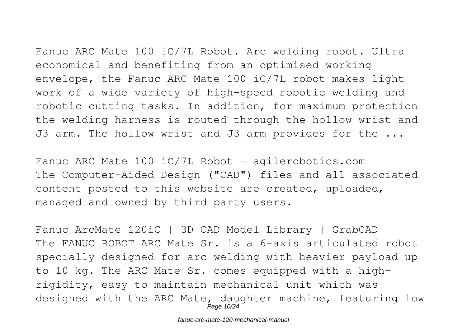Fanuc ARC Mate 100 iC/7L Robot. Arc welding robot. Ultra economical and benefiting from an optimised working envelope, the Fanuc ARC Mate 100 iC/7L robot makes light work of a wide variety of high-speed robotic welding and robotic cutting tasks. In addition, for maximum protection the welding harness is routed through the hollow wrist and J3 arm. The hollow wrist and J3 arm provides for the ...

Fanuc ARC Mate  $100$  iC/7L Robot - agilerobotics.com The Computer-Aided Design ("CAD") files and all associated content posted to this website are created, uploaded, managed and owned by third party users.

Fanuc ArcMate 120iC | 3D CAD Model Library | GrabCAD The FANUC ROBOT ARC Mate Sr. is a 6-axis articulated robot specially designed for arc welding with heavier payload up to 10 kg. The ARC Mate Sr. comes equipped with a highrigidity, easy to maintain mechanical unit which was designed with the ARC Mate, daughter machine, featuring low Page 10/24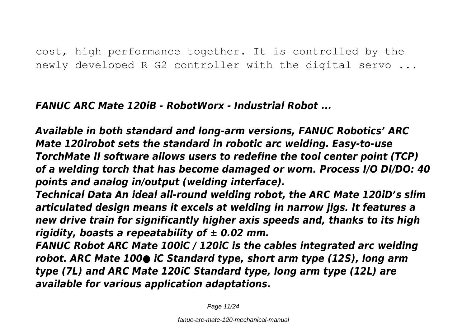cost, high performance together. It is controlled by the newly developed R-G2 controller with the digital servo ...

*FANUC ARC Mate 120iB - RobotWorx - Industrial Robot ...*

*Available in both standard and long-arm versions, FANUC Robotics' ARC Mate 120irobot sets the standard in robotic arc welding. Easy-to-use TorchMate II software allows users to redefine the tool center point (TCP) of a welding torch that has become damaged or worn. Process I/O DI/DO: 40 points and analog in/output (welding interface).*

*Technical Data An ideal all-round welding robot, the ARC Mate 120iD's slim articulated design means it excels at welding in narrow jigs. It features a new drive train for significantly higher axis speeds and, thanks to its high rigidity, boasts a repeatability of ± 0.02 mm.*

*FANUC Robot ARC Mate 100iC / 120iC is the cables integrated arc welding robot. ARC Mate 100● iC Standard type, short arm type (12S), long arm type (7L) and ARC Mate 120iC Standard type, long arm type (12L) are available for various application adaptations.*

Page 11/24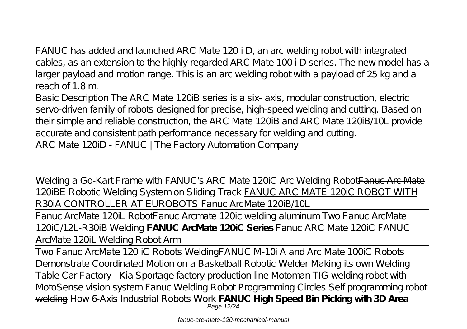FANUC has added and launched ARC Mate 120 i D, an arc welding robot with integrated cables, as an extension to the highly regarded ARC Mate 100 i D series. The new model has a larger payload and motion range. This is an arc welding robot with a payload of 25 kg and a reach of 1.8 m.

Basic Description The ARC Mate 120iB series is a six- axis, modular construction, electric servo-driven family of robots designed for precise, high-speed welding and cutting. Based on their simple and reliable construction, the ARC Mate 120iB and ARC Mate 120iB/10L provide accurate and consistent path performance necessary for welding and cutting. ARC Mate 120iD - FANUC | The Factory Automation Company

Welding a Go-Kart Frame with FANUC's ARC Mate 120iC Arc Welding Robot Fanuc Arc Mate 120iBE Robotic Welding System on Sliding Track FANUC ARC MATE 120iC ROBOT WITH R30iA CONTROLLER AT EUROBOTS Fanuc ArcMate 120iB/10L

Fanuc ArcMate 120iL Robot*Fanuc Arcmate 120ic welding aluminum Two Fanuc ArcMate 120iC/12L-R30iB Welding* **FANUC ArcMate 120iC Series** Fanuc ARC Mate 120iC *FANUC ArcMate 120iL Welding Robot Arm*

Two Fanuc ArcMate 120 iC Robots Welding*FANUC M-10i A and Arc Mate 100iC Robots Demonstrate Coordinated Motion on a Basketball Robotic Welder Making its own Welding Table Car Factory - Kia Sportage factory production line Motoman TIG welding robot with MotoSense vision system Fanuc Welding Robot Programming Circles* Self programming robot welding How 6-Axis Industrial Robots Work **FANUC High Speed Bin Picking with 3D Area** Page 12/24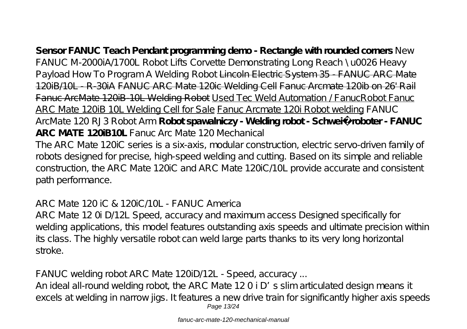**Sensor FANUC Teach Pendant programming demo - Rectangle with rounded corners** *New FANUC M-2000iA/1700L Robot Lifts Corvette Demonstrating Long Reach \u0026 Heavy Payload How To Program A Welding Robot* Lincoln Electric System 35 - FANUC ARC Mate 120iB/10L - R-30iA FANUC ARC Mate 120ic Welding Cell Fanuc Arcmate 120ib on 26' Rail Fanuc ArcMate 120iB 10L Welding Robot Used Tec Weld Automation / FanucRobot Fanuc ARC Mate 120iB 10L Welding Cell for Sale Fanuc Arcmate 120i Robot welding *FANUC ArcMate 120 RJ3 Robot Arm* Robot spawalniczy - Welding robot - Schweiß roboter - FANUC **ARC MATE 120iB10L** Fanuc Arc Mate 120 Mechanical The ARC Mate 120iC series is a six-axis, modular construction, electric servo-driven family of

robots designed for precise, high-speed welding and cutting. Based on its simple and reliable construction, the ARC Mate 120iC and ARC Mate 120iC /10L provide accurate and consistent path performance.

ARC Mate 120 iC & 120iC/10L - FANUC America

ARC Mate 12 0i D/12L Speed, accuracy and maximum access Designed specifically for welding applications, this model features outstanding axis speeds and ultimate precision within its class. The highly versatile robot can weld large parts thanks to its very long horizontal stroke.

FANUC welding robot ARC Mate 120iD /12L - Speed, accuracy ...

An ideal all-round welding robot, the ARC Mate 12 0 i D's slim articulated design means it excels at welding in narrow jigs. It features a new drive train for significantly higher axis speeds Page 13/24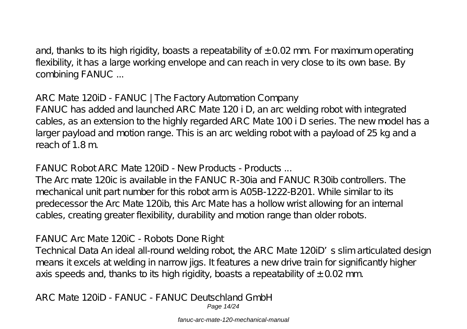and, thanks to its high rigidity, boasts a repeatability of  $\pm$  0.02 mm. For maximum operating flexibility, it has a large working envelope and can reach in very close to its own base. By combining FANUC ...

ARC Mate 120iD - FANUC | The Factory Automation Company FANUC has added and launched ARC Mate 120 i D, an arc welding robot with integrated cables, as an extension to the highly regarded ARC Mate 100 i D series. The new model has a larger payload and motion range. This is an arc welding robot with a payload of 25 kg and a reach of 1.8 m.

FANUC Robot ARC Mate 120iD - New Products - Products ...

The Arc mate 120ic is available in the FANUC R-30ia and FANUC R30ib controllers. The mechanical unit part number for this robot arm is A05B-1222-B201. While similar to its predecessor the Arc Mate 120ib, this Arc Mate has a hollow wrist allowing for an internal cables, creating greater flexibility, durability and motion range than older robots.

FANUC Arc Mate 120iC - Robots Done Right

Technical Data An ideal all-round welding robot, the ARC Mate 120iD's slim articulated design means it excels at welding in narrow jigs. It features a new drive train for significantly higher axis speeds and, thanks to its high rigidity, boasts a repeatability of  $\pm$  0.02 mm.

ARC Mate 120iD - FANUC - FANUC Deutschland GmbH Page 14/24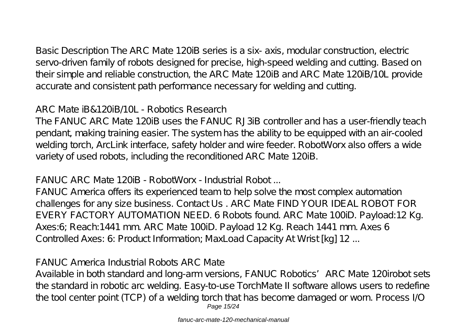Basic Description The ARC Mate 120iB series is a six- axis, modular construction, electric servo-driven family of robots designed for precise, high-speed welding and cutting. Based on their simple and reliable construction, the ARC Mate 120iB and ARC Mate 120iB/10L provide accurate and consistent path performance necessary for welding and cutting.

ARC Mate iB&120iB/10L - Robotics Research

The FANUC ARC Mate 120iB uses the FANUC RJ3iB controller and has a user-friendly teach pendant, making training easier. The system has the ability to be equipped with an air-cooled welding torch, ArcLink interface, safety holder and wire feeder. RobotWorx also offers a wide variety of used robots, including the reconditioned ARC Mate 120iB.

FANUC ARC Mate 120iB - RobotWorx - Industrial Robot ...

FANUC America offers its experienced team to help solve the most complex automation challenges for any size business. Contact Us . ARC Mate FIND YOUR IDEAL ROBOT FOR EVERY FACTORY AUTOMATION NEED. 6 Robots found. ARC Mate 100iD. Payload:12 Kg. Axes:6; Reach:1441 mm. ARC Mate 100iD. Payload 12 Kg. Reach 1441 mm. Axes 6 Controlled Axes: 6: Product Information; MaxLoad Capacity At Wrist [kg] 12 ...

FANUC America Industrial Robots ARC Mate

Available in both standard and long-arm versions, FANUC Robotics' ARC Mate 120irobot sets the standard in robotic arc welding. Easy-to-use TorchMate II software allows users to redefine the tool center point (TCP) of a welding torch that has become damaged or worn. Process I/O Page 15/24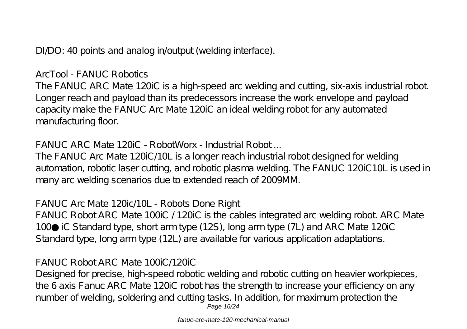DI/DO: 40 points and analog in/output (welding interface).

ArcTool - FANUC Robotics

The FANUC ARC Mate 120iC is a high-speed arc welding and cutting, six-axis industrial robot. Longer reach and payload than its predecessors increase the work envelope and payload capacity make the FANUC Arc Mate 120iC an ideal welding robot for any automated manufacturing floor.

FANUC ARC Mate 120iC - RobotWorx - Industrial Robot ...

The FANUC Arc Mate 120iC/10L is a longer reach industrial robot designed for welding automation, robotic laser cutting, and robotic plasma welding. The FANUC 120iC10L is used in many arc welding scenarios due to extended reach of 2009MM.

FANUC Arc Mate 120ic/10L - Robots Done Right

FANUC Robot ARC Mate 100iC / 120iC is the cables integrated arc welding robot. ARC Mate 100 iC Standard type, short arm type (12S), long arm type (7L) and ARC Mate 120iC Standard type, long arm type (12L) are available for various application adaptations.

FANUC Robot ARC Mate 100iC/120iC

Designed for precise, high-speed robotic welding and robotic cutting on heavier workpieces, the 6 axis Fanuc ARC Mate 120iC robot has the strength to increase your efficiency on any number of welding, soldering and cutting tasks. In addition, for maximum protection the Page 16/24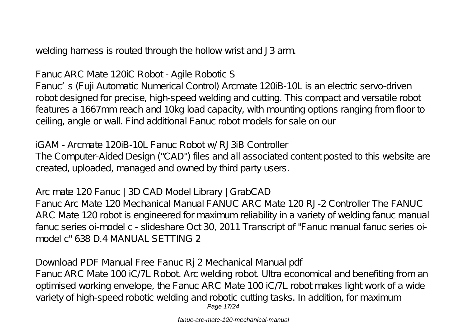welding harness is routed through the hollow wrist and J3 arm.

Fanuc ARC Mate 120iC Robot - Agile Robotic S

Fanuc's (Fuji Automatic Numerical Control) Arcmate 120iB-10L is an electric servo-driven robot designed for precise, high-speed welding and cutting. This compact and versatile robot features a 1667mm reach and 10kg load capacity, with mounting options ranging from floor to ceiling, angle or wall. Find additional Fanuc robot models for sale on our

iGAM - Arcmate 120iB-10L Fanuc Robot w/ RJ3iB Controller The Computer-Aided Design ("CAD") files and all associated content posted to this website are created, uploaded, managed and owned by third party users.

Arc mate 120 Fanuc | 3D CAD Model Library | GrabCAD Fanuc Arc Mate 120 Mechanical Manual FANUC ARC Mate 120 RJ-2 Controller The FANUC ARC Mate 120 robot is engineered for maximum reliability in a variety of welding fanuc manual fanuc series oi-model c - slideshare Oct 30, 2011 Transcript of "Fanuc manual fanuc series oimodel c" 638 D.4 MANUAL SETTING 2

Download PDF Manual Free Fanuc Rj 2 Mechanical Manual pdf Fanuc ARC Mate 100 iC/7L Robot. Arc welding robot. Ultra economical and benefiting from an optimised working envelope, the Fanuc ARC Mate 100 iC/7L robot makes light work of a wide variety of high-speed robotic welding and robotic cutting tasks. In addition, for maximum Page 17/24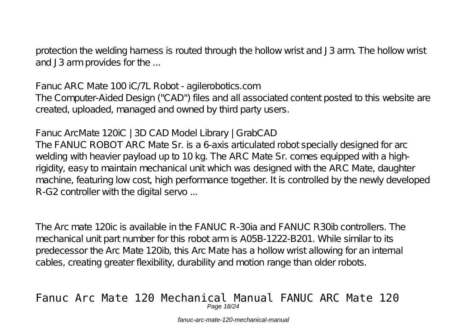protection the welding harness is routed through the hollow wrist and J3 arm. The hollow wrist and J3 arm provides for the ...

Fanuc ARC Mate 100 iC/7L Robot - agilerobotics.com

The Computer-Aided Design ("CAD") files and all associated content posted to this website are created, uploaded, managed and owned by third party users.

Fanuc ArcMate 120iC | 3D CAD Model Library | GrabCAD

The FANUC ROBOT ARC Mate Sr. is a 6-axis articulated robot specially designed for arc welding with heavier payload up to 10 kg. The ARC Mate Sr. comes equipped with a highrigidity, easy to maintain mechanical unit which was designed with the ARC Mate, daughter machine, featuring low cost, high performance together. It is controlled by the newly developed R-G2 controller with the digital servo ...

The Arc mate 120ic is available in the FANUC R-30ia and FANUC R30ib controllers. The mechanical unit part number for this robot arm is A05B-1222-B201. While similar to its predecessor the Arc Mate 120ib, this Arc Mate has a hollow wrist allowing for an internal cables, creating greater flexibility, durability and motion range than older robots.

### Fanuc Arc Mate 120 Mechanical Manual FANUC ARC Mate 120 Page 18/24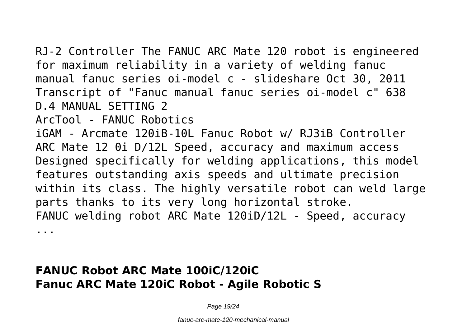RJ-2 Controller The FANUC ARC Mate 120 robot is engineered for maximum reliability in a variety of welding fanuc manual fanuc series oi-model c - slideshare Oct 30, 2011 Transcript of "Fanuc manual fanuc series oi-model c" 638 D.4 MANUAL SETTING 2

ArcTool - FANUC Robotics

iGAM - Arcmate 120iB-10L Fanuc Robot w/ RJ3iB Controller ARC Mate 12 0i D/12L Speed, accuracy and maximum access Designed specifically for welding applications, this model features outstanding axis speeds and ultimate precision within its class. The highly versatile robot can weld large parts thanks to its very long horizontal stroke. FANUC welding robot ARC Mate 120iD/12L - Speed, accuracy ...

## **FANUC Robot ARC Mate 100iC/120iC Fanuc ARC Mate 120iC Robot - Agile Robotic S**

Page 19/24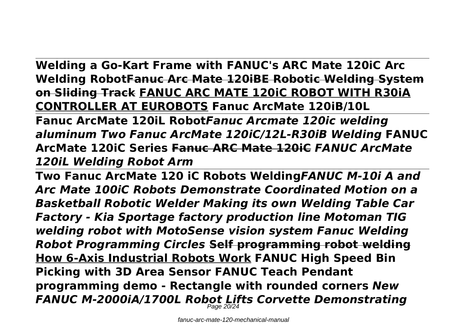**Welding a Go-Kart Frame with FANUC's ARC Mate 120iC Arc Welding RobotFanuc Arc Mate 120iBE Robotic Welding System on Sliding Track FANUC ARC MATE 120iC ROBOT WITH R30iA CONTROLLER AT EUROBOTS Fanuc ArcMate 120iB/10L** 

**Fanuc ArcMate 120iL Robot***Fanuc Arcmate 120ic welding aluminum Two Fanuc ArcMate 120iC/12L-R30iB Welding* **FANUC ArcMate 120iC Series Fanuc ARC Mate 120iC** *FANUC ArcMate 120iL Welding Robot Arm*

**Two Fanuc ArcMate 120 iC Robots Welding***FANUC M-10i A and Arc Mate 100iC Robots Demonstrate Coordinated Motion on a Basketball Robotic Welder Making its own Welding Table Car Factory - Kia Sportage factory production line Motoman TIG welding robot with MotoSense vision system Fanuc Welding Robot Programming Circles* **Self programming robot welding How 6-Axis Industrial Robots Work FANUC High Speed Bin Picking with 3D Area Sensor FANUC Teach Pendant programming demo - Rectangle with rounded corners** *New FANUC M-2000iA/1700L Robot Lifts Corvette Demonstrating*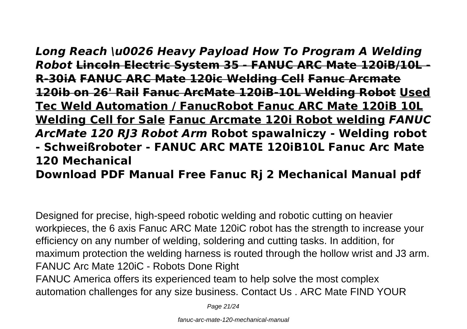*Long Reach \u0026 Heavy Payload How To Program A Welding Robot* **Lincoln Electric System 35 - FANUC ARC Mate 120iB/10L - R-30iA FANUC ARC Mate 120ic Welding Cell Fanuc Arcmate 120ib on 26' Rail Fanuc ArcMate 120iB-10L Welding Robot Used Tec Weld Automation / FanucRobot Fanuc ARC Mate 120iB 10L Welding Cell for Sale Fanuc Arcmate 120i Robot welding** *FANUC ArcMate 120 RJ3 Robot Arm* **Robot spawalniczy - Welding robot - Schweißroboter - FANUC ARC MATE 120iB10L Fanuc Arc Mate 120 Mechanical**

**Download PDF Manual Free Fanuc Rj 2 Mechanical Manual pdf** 

Designed for precise, high-speed robotic welding and robotic cutting on heavier workpieces, the 6 axis Fanuc ARC Mate 120iC robot has the strength to increase your efficiency on any number of welding, soldering and cutting tasks. In addition, for maximum protection the welding harness is routed through the hollow wrist and J3 arm. FANUC Arc Mate 120iC - Robots Done Right FANUC America offers its experienced team to help solve the most complex automation challenges for any size business. Contact Us . ARC Mate FIND YOUR

Page 21/24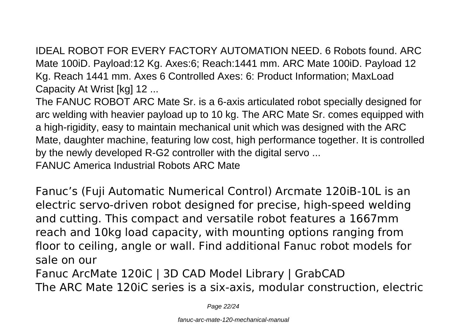IDEAL ROBOT FOR EVERY FACTORY AUTOMATION NEED. 6 Robots found. ARC Mate 100iD. Payload:12 Kg. Axes:6; Reach:1441 mm. ARC Mate 100iD. Payload 12 Kg. Reach 1441 mm. Axes 6 Controlled Axes: 6: Product Information; MaxLoad Capacity At Wrist [kg] 12 ...

The FANUC ROBOT ARC Mate Sr. is a 6-axis articulated robot specially designed for arc welding with heavier payload up to 10 kg. The ARC Mate Sr. comes equipped with a high-rigidity, easy to maintain mechanical unit which was designed with the ARC Mate, daughter machine, featuring low cost, high performance together. It is controlled by the newly developed R-G2 controller with the digital servo ...

FANUC America Industrial Robots ARC Mate

Fanuc's (Fuji Automatic Numerical Control) Arcmate 120iB-10L is an electric servo-driven robot designed for precise, high-speed welding and cutting. This compact and versatile robot features a 1667mm reach and 10kg load capacity, with mounting options ranging from floor to ceiling, angle or wall. Find additional Fanuc robot models for sale on our

Fanuc ArcMate 120iC | 3D CAD Model Library | GrabCAD The ARC Mate 120iC series is a six-axis, modular construction, electric

Page 22/24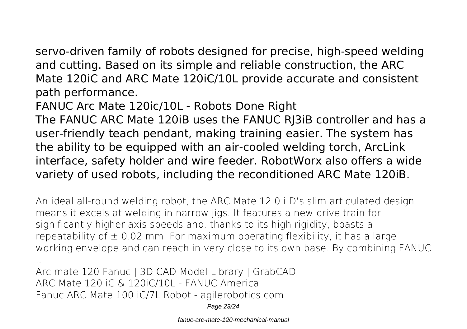servo-driven family of robots designed for precise, high-speed welding and cutting. Based on its simple and reliable construction, the ARC Mate 120iC and ARC Mate 120iC/10L provide accurate and consistent path performance.

FANUC Arc Mate 120ic/10L - Robots Done Right

The FANUC ARC Mate 120iB uses the FANUC RJ3iB controller and has a user-friendly teach pendant, making training easier. The system has the ability to be equipped with an air-cooled welding torch, ArcLink interface, safety holder and wire feeder. RobotWorx also offers a wide variety of used robots, including the reconditioned ARC Mate 120iB.

An ideal all-round welding robot, the ARC Mate 12 0 i D's slim articulated design means it excels at welding in narrow jigs. It features a new drive train for significantly higher axis speeds and, thanks to its high rigidity, boasts a repeatability of  $\pm$  0.02 mm. For maximum operating flexibility, it has a large working envelope and can reach in very close to its own base. By combining FANUC

... Arc mate 120 Fanuc | 3D CAD Model Library | GrabCAD ARC Mate 120 iC & 120iC/10L - FANUC America Fanuc ARC Mate 100 iC/7L Robot - agilerobotics.com

Page 23/24